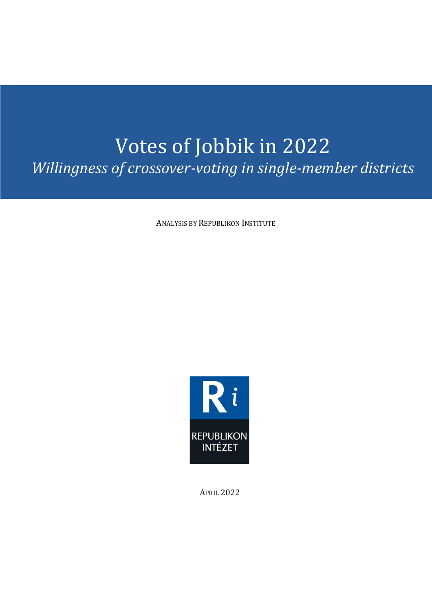## Votes of Jobbik in 2022 *Willingness of crossover-voting in single-member districts*

ANALYSIS BY REPUBLIKON INSTITUTE



APRIL 2022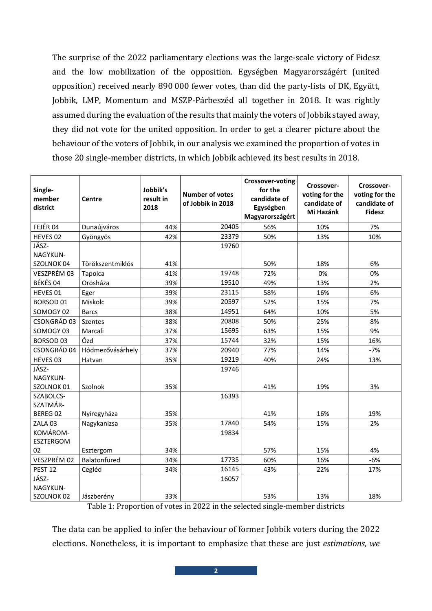The surprise of the 2022 parliamentary elections was the large-scale victory of Fidesz and the low mobilization of the opposition. Egységben Magyarországért (united opposition) received nearly 890 000 fewer votes, than did the party-lists of DK, Együtt, Jobbik, LMP, Momentum and MSZP-Párbeszéd all together in 2018. It was rightly assumed during the evaluation of the results that mainly the voters of Jobbik stayed away, they did not vote for the united opposition. In order to get a clearer picture about the behaviour of the voters of Jobbik, in our analysis we examined the proportion of votes in those 20 single-member districts, in which Jobbik achieved its best results in 2018.

| Single-<br>member<br>district | <b>Centre</b>    | Jobbik's<br>result in<br>2018 | <b>Number of votes</b><br>of Jobbik in 2018 | Crossover-voting<br>for the<br>candidate of<br>Egységben<br>Magyarországért | Crossover-<br>voting for the<br>candidate of<br>Mi Hazánk | Crossover-<br>voting for the<br>candidate of<br><b>Fidesz</b> |
|-------------------------------|------------------|-------------------------------|---------------------------------------------|-----------------------------------------------------------------------------|-----------------------------------------------------------|---------------------------------------------------------------|
| FEJÉR 04                      | Dunaújváros      | 44%                           | 20405                                       | 56%                                                                         | 10%                                                       | 7%                                                            |
| HEVES 02                      | Gyöngyös         | 42%                           | 23379                                       | 50%                                                                         | 13%                                                       | 10%                                                           |
| JÁSZ-                         |                  |                               | 19760                                       |                                                                             |                                                           |                                                               |
| NAGYKUN-                      |                  |                               |                                             |                                                                             |                                                           |                                                               |
| SZOLNOK 04                    | Törökszentmiklós | 41%                           |                                             | 50%                                                                         | 18%                                                       | 6%                                                            |
| VESZPRÉM 03                   | Tapolca          | 41%                           | 19748                                       | 72%                                                                         | 0%                                                        | 0%                                                            |
| BÉKÉS 04                      | Orosháza         | 39%                           | 19510                                       | 49%                                                                         | 13%                                                       | 2%                                                            |
| HEVES 01                      | Eger             | 39%                           | 23115                                       | 58%                                                                         | 16%                                                       | 6%                                                            |
| BORSOD <sub>01</sub>          | Miskolc          | 39%                           | 20597                                       | 52%                                                                         | 15%                                                       | 7%                                                            |
| SOMOGY 02                     | <b>Barcs</b>     | 38%                           | 14951                                       | 64%                                                                         | 10%                                                       | 5%                                                            |
| CSONGRÁD 03                   | Szentes          | 38%                           | 20808                                       | 50%                                                                         | 25%                                                       | 8%                                                            |
| SOMOGY 03                     | Marcali          | 37%                           | 15695                                       | 63%                                                                         | 15%                                                       | 9%                                                            |
| <b>BORSOD 03</b>              | Ózd              | 37%                           | 15744                                       | 32%                                                                         | 15%                                                       | 16%                                                           |
| CSONGRÁD 04                   | Hódmezővásárhely | 37%                           | 20940                                       | 77%                                                                         | 14%                                                       | $-7%$                                                         |
| HEVES 03                      | Hatvan           | 35%                           | 19219                                       | 40%                                                                         | 24%                                                       | 13%                                                           |
| JÁSZ-<br>NAGYKUN-             |                  |                               | 19746                                       |                                                                             |                                                           |                                                               |
| SZOLNOK 01                    | Szolnok          | 35%                           |                                             | 41%                                                                         | 19%                                                       | 3%                                                            |
| SZABOLCS-<br>SZATMÁR-         |                  |                               | 16393                                       |                                                                             |                                                           |                                                               |
| BEREG 02                      | Nyíregyháza      | 35%                           |                                             | 41%                                                                         | 16%                                                       | 19%                                                           |
| ZALA 03                       | Nagykanizsa      | 35%                           | 17840                                       | 54%                                                                         | 15%                                                       | 2%                                                            |
| KOMÁROM-<br>ESZTERGOM         |                  |                               | 19834                                       |                                                                             |                                                           |                                                               |
| 02                            | Esztergom        | 34%                           |                                             | 57%                                                                         | 15%                                                       | 4%                                                            |
| VESZPRÉM 02                   | Balatonfüred     | 34%                           | 17735                                       | 60%                                                                         | 16%                                                       | $-6%$                                                         |
| PEST <sub>12</sub>            | Cegléd           | 34%                           | 16145                                       | 43%                                                                         | 22%                                                       | 17%                                                           |
| JÁSZ-                         |                  |                               | 16057                                       |                                                                             |                                                           |                                                               |
| NAGYKUN-                      |                  |                               |                                             |                                                                             |                                                           |                                                               |
| SZOLNOK 02                    | Jászberény       | 33%                           |                                             | 53%                                                                         | 13%                                                       | 18%                                                           |

Table 1: Proportion of votes in 2022 in the selected single-member districts

The data can be applied to infer the behaviour of former Jobbik voters during the 2022 elections. Nonetheless, it is important to emphasize that these are just *estimations, we*

**2**